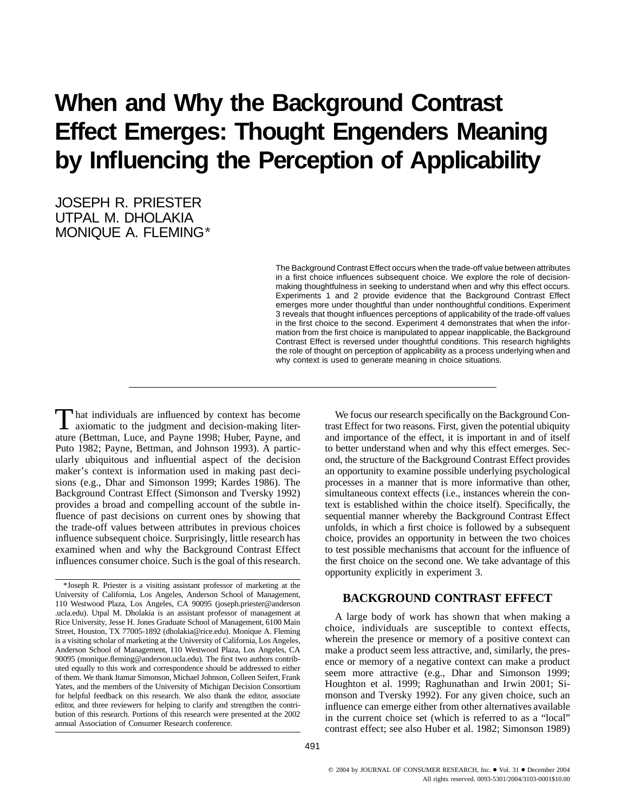

# **Journal of Consumer Research Inc.**

When and Why the Background Contrast Effect Emerges: Thought Engenders Meaning by Influencing the Perception of Applicability Author(s): Joseph R. Priester, Utpal M. Dholakia, Monique A. Fleming Source: The Journal of Consumer Research, Vol. 31, No. 3 (December 2004), pp. 491-501 Published by: [The University of Chicago Press](http://www.jstor.org/action/showPublisher?publisherCode=ucpress) Stable URL: http://www.jstor.org/stable/10.1086/425084 Accessed: 12/02/2011 13:45

Your use of the JSTOR archive indicates your acceptance of JSTOR's Terms and Conditions of Use, available at <http://www.jstor.org/page/info/about/policies/terms.jsp>. JSTOR's Terms and Conditions of Use provides, in part, that unless you have obtained prior permission, you may not download an entire issue of a journal or multiple copies of articles, and you may use content in the JSTOR archive only for your personal, non-commercial use.

Please contact the publisher regarding any further use of this work. Publisher contact information may be obtained at [http://www.jstor.org/action/showPublisher?publisherCode=ucpress.](http://www.jstor.org/action/showPublisher?publisherCode=ucpress)

Each copy of any part of a JSTOR transmission must contain the same copyright notice that appears on the screen or printed page of such transmission.

JSTOR is a not-for-profit service that helps scholars, researchers, and students discover, use, and build upon a wide range of content in a trusted digital archive. We use information technology and tools to increase productivity and facilitate new forms of scholarship. For more information about JSTOR, please contact support@jstor.org.



*The University of Chicago Press* and *Journal of Consumer Research Inc.* are collaborating with JSTOR to digitize, preserve and extend access to *The Journal of Consumer Research.*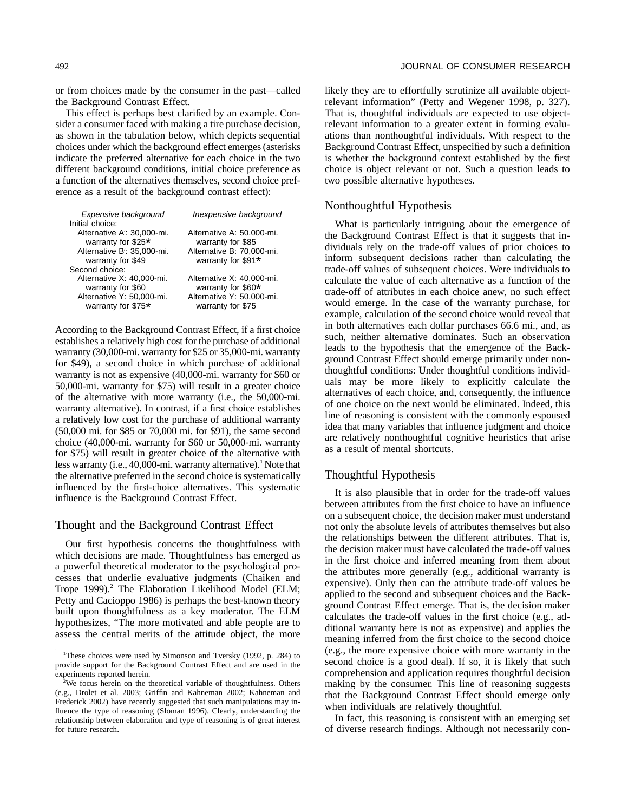# **When and Why the Background Contrast Effect Emerges: Thought Engenders Meaning by Influencing the Perception of Applicability**

JOSEPH R. PRIESTER UTPAL M. DHOLAKIA MONIQUE A. FLEMING\*

> The Background Contrast Effect occurs when the trade-off value betweenattributes in a first choice influences subsequent choice. We explore the role of decisionmaking thoughtfulness in seeking to understand when and why this effect occurs. Experiments 1 and 2 provide evidence that the Background Contrast Effect emerges more under thoughtful than under nonthoughtful conditions. Experiment 3 reveals that thought influences perceptions of applicability of the trade-off values in the first choice to the second. Experiment 4 demonstrates that when the information from the first choice is manipulated to appear inapplicable, the Background Contrast Effect is reversed under thoughtful conditions. This research highlights the role of thought on perception of applicability as a process underlying when and why context is used to generate meaning in choice situations.

That individuals are influenced by context has become axiomatic to the judgment and decision-making literature (Bettman, Luce, and Payne 1998; Huber, Payne, and Puto 1982; Payne, Bettman, and Johnson 1993). A particularly ubiquitous and influential aspect of the decision maker's context is information used in making past decisions (e.g., Dhar and Simonson 1999; Kardes 1986). The Background Contrast Effect (Simonson and Tversky 1992) provides a broad and compelling account of the subtle influence of past decisions on current ones by showing that the trade-off values between attributes in previous choices influence subsequent choice. Surprisingly, little research has examined when and why the Background Contrast Effect influences consumer choice. Such is the goal of this research.

We focus our research specifically on the Background Contrast Effect for two reasons. First, given the potential ubiquity and importance of the effect, it is important in and of itself to better understand when and why this effect emerges. Second, the structure of the Background Contrast Effect provides an opportunity to examine possible underlying psychological processes in a manner that is more informative than other, simultaneous context effects (i.e., instances wherein the context is established within the choice itself). Specifically, the sequential manner whereby the Background Contrast Effect unfolds, in which a first choice is followed by a subsequent choice, provides an opportunity in between the two choices to test possible mechanisms that account for the influence of the first choice on the second one. We take advantage of this opportunity explicitly in experiment 3.

# **BACKGROUND CONTRAST EFFECT**

A large body of work has shown that when making a choice, individuals are susceptible to context effects, wherein the presence or memory of a positive context can make a product seem less attractive, and, similarly, the presence or memory of a negative context can make a product seem more attractive (e.g., Dhar and Simonson 1999; Houghton et al. 1999; Raghunathan and Irwin 2001; Simonson and Tversky 1992). For any given choice, such an influence can emerge either from other alternatives available in the current choice set (which is referred to as a "local" contrast effect; see also Huber et al. 1982; Simonson 1989)

<sup>\*</sup>Joseph R. Priester is a visiting assistant professor of marketing at the University of California, Los Angeles, Anderson School of Management, 110 Westwood Plaza, Los Angeles, CA 90095 (joseph.priester@anderson .ucla.edu). Utpal M. Dholakia is an assistant professor of management at Rice University, Jesse H. Jones Graduate School of Management, 6100 Main Street, Houston, TX 77005-1892 (dholakia@rice.edu). Monique A. Fleming is a visiting scholar of marketing at the University of California, Los Angeles, Anderson School of Management, 110 Westwood Plaza, Los Angeles, CA 90095 (monique.fleming@anderson.ucla.edu). The first two authors contributed equally to this work and correspondence should be addressed to either of them. We thank Itamar Simonson, Michael Johnson, Colleen Seifert, Frank Yates, and the members of the University of Michigan Decision Consortium for helpful feedback on this research. We also thank the editor, associate editor, and three reviewers for helping to clarify and strengthen the contribution of this research. Portions of this research were presented at the 2002 annual Association of Consumer Research conference.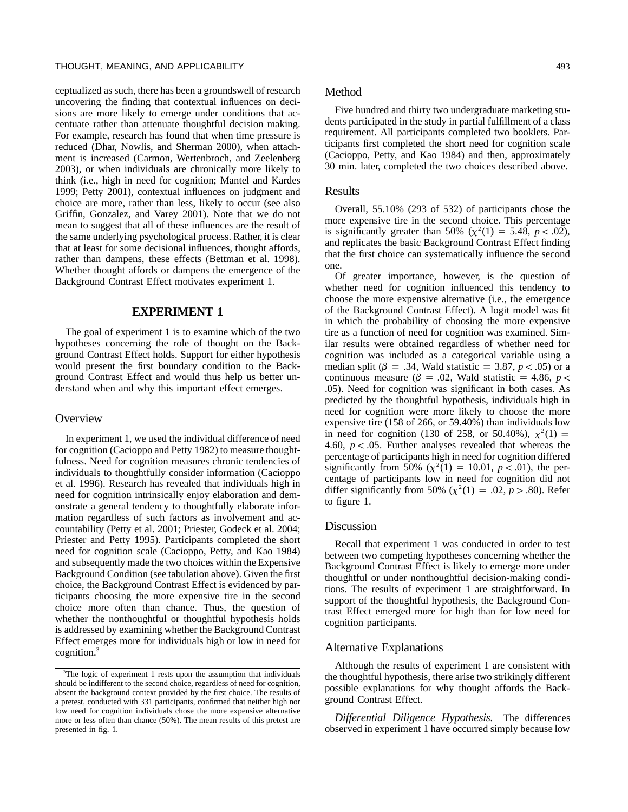or from choices made by the consumer in the past—called the Background Contrast Effect.

This effect is perhaps best clarified by an example. Consider a consumer faced with making a tire purchase decision, as shown in the tabulation below, which depicts sequential choices under which the background effect emerges (asterisks indicate the preferred alternative for each choice in the two different background conditions, initial choice preference as a function of the alternatives themselves, second choice preference as a result of the background contrast effect):

| Expensive background<br>Initial choice: | Inexpensive background    |
|-----------------------------------------|---------------------------|
| Alternative A': 30,000-mi.              | Alternative A: 50.000-mi. |
| warranty for \$25*                      | warranty for \$85         |
| Alternative B': 35,000-mi.              | Alternative B: 70,000-mi. |
| warranty for \$49                       | warranty for \$91*        |
| Second choice:                          |                           |
| Alternative X: 40,000-mi.               | Alternative X: 40,000-mi. |
| warranty for \$60                       | warranty for \$60*        |
| Alternative Y: 50,000-mi.               | Alternative Y: 50,000-mi. |
| warranty for \$75*                      | warranty for \$75         |
|                                         |                           |

According to the Background Contrast Effect, if a first choice establishes a relatively high cost for the purchase of additional warranty (30,000-mi. warranty for \$25 or 35,000-mi. warranty for \$49), a second choice in which purchase of additional warranty is not as expensive (40,000-mi. warranty for \$60 or 50,000-mi. warranty for \$75) will result in a greater choice of the alternative with more warranty (i.e., the 50,000-mi. warranty alternative). In contrast, if a first choice establishes a relatively low cost for the purchase of additional warranty (50,000 mi. for \$85 or 70,000 mi. for \$91), the same second choice (40,000-mi. warranty for \$60 or 50,000-mi. warranty for \$75) will result in greater choice of the alternative with less warranty (i.e.,  $40,000$ -mi. warranty alternative).<sup>1</sup> Note that the alternative preferred in the second choice is systematically influenced by the first-choice alternatives. This systematic influence is the Background Contrast Effect.

# Thought and the Background Contrast Effect

Our first hypothesis concerns the thoughtfulness with which decisions are made. Thoughtfulness has emerged as a powerful theoretical moderator to the psychological processes that underlie evaluative judgments (Chaiken and Trope  $1999$ ).<sup>2</sup> The Elaboration Likelihood Model (ELM; Petty and Cacioppo 1986) is perhaps the best-known theory built upon thoughtfulness as a key moderator. The ELM hypothesizes, "The more motivated and able people are to assess the central merits of the attitude object, the more likely they are to effortfully scrutinize all available objectrelevant information" (Petty and Wegener 1998, p. 327). That is, thoughtful individuals are expected to use objectrelevant information to a greater extent in forming evaluations than nonthoughtful individuals. With respect to the Background Contrast Effect, unspecified by such a definition is whether the background context established by the first choice is object relevant or not. Such a question leads to two possible alternative hypotheses.

# Nonthoughtful Hypothesis

What is particularly intriguing about the emergence of the Background Contrast Effect is that it suggests that individuals rely on the trade-off values of prior choices to inform subsequent decisions rather than calculating the trade-off values of subsequent choices. Were individuals to calculate the value of each alternative as a function of the trade-off of attributes in each choice anew, no such effect would emerge. In the case of the warranty purchase, for example, calculation of the second choice would reveal that in both alternatives each dollar purchases 66.6 mi., and, as such, neither alternative dominates. Such an observation leads to the hypothesis that the emergence of the Background Contrast Effect should emerge primarily under nonthoughtful conditions: Under thoughtful conditions individuals may be more likely to explicitly calculate the alternatives of each choice, and, consequently, the influence of one choice on the next would be eliminated. Indeed, this line of reasoning is consistent with the commonly espoused idea that many variables that influence judgment and choice are relatively nonthoughtful cognitive heuristics that arise as a result of mental shortcuts.

# Thoughtful Hypothesis

It is also plausible that in order for the trade-off values between attributes from the first choice to have an influence on a subsequent choice, the decision maker must understand not only the absolute levels of attributes themselves but also the relationships between the different attributes. That is, the decision maker must have calculated the trade-off values in the first choice and inferred meaning from them about the attributes more generally (e.g., additional warranty is expensive). Only then can the attribute trade-off values be applied to the second and subsequent choices and the Background Contrast Effect emerge. That is, the decision maker calculates the trade-off values in the first choice (e.g., additional warranty here is not as expensive) and applies the meaning inferred from the first choice to the second choice (e.g., the more expensive choice with more warranty in the second choice is a good deal). If so, it is likely that such comprehension and application requires thoughtful decision making by the consumer. This line of reasoning suggests that the Background Contrast Effect should emerge only when individuals are relatively thoughtful.

In fact, this reasoning is consistent with an emerging set of diverse research findings. Although not necessarily con-

<sup>&</sup>lt;sup>1</sup>These choices were used by Simonson and Tversky (1992, p. 284) to provide support for the Background Contrast Effect and are used in the experiments reported herein.

<sup>&</sup>lt;sup>2</sup>We focus herein on the theoretical variable of thoughtfulness. Others (e.g., Drolet et al. 2003; Griffin and Kahneman 2002; Kahneman and Frederick 2002) have recently suggested that such manipulations may influence the type of reasoning (Sloman 1996). Clearly, understanding the relationship between elaboration and type of reasoning is of great interest for future research.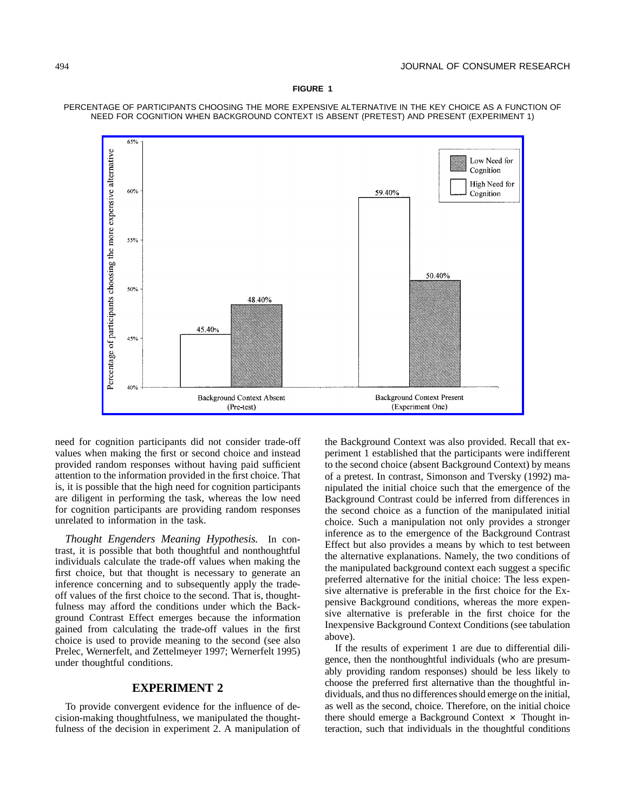#### THOUGHT, MEANING, AND APPLICABILITY 493

ceptualized as such, there has been a groundswell of research uncovering the finding that contextual influences on decisions are more likely to emerge under conditions that accentuate rather than attenuate thoughtful decision making. For example, research has found that when time pressure is reduced (Dhar, Nowlis, and Sherman 2000), when attachment is increased (Carmon, Wertenbroch, and Zeelenberg 2003), or when individuals are chronically more likely to think (i.e., high in need for cognition; Mantel and Kardes 1999; Petty 2001), contextual influences on judgment and choice are more, rather than less, likely to occur (see also Griffin, Gonzalez, and Varey 2001). Note that we do not mean to suggest that all of these influences are the result of the same underlying psychological process. Rather, it is clear that at least for some decisional influences, thought affords, rather than dampens, these effects (Bettman et al. 1998). Whether thought affords or dampens the emergence of the Background Contrast Effect motivates experiment 1.

#### **EXPERIMENT 1**

The goal of experiment 1 is to examine which of the two hypotheses concerning the role of thought on the Background Contrast Effect holds. Support for either hypothesis would present the first boundary condition to the Background Contrast Effect and would thus help us better understand when and why this important effect emerges.

#### **Overview**

In experiment 1, we used the individual difference of need for cognition (Cacioppo and Petty 1982) to measure thoughtfulness. Need for cognition measures chronic tendencies of individuals to thoughtfully consider information (Cacioppo et al. 1996). Research has revealed that individuals high in need for cognition intrinsically enjoy elaboration and demonstrate a general tendency to thoughtfully elaborate information regardless of such factors as involvement and accountability (Petty et al. 2001; Priester, Godeck et al. 2004; Priester and Petty 1995). Participants completed the short need for cognition scale (Cacioppo, Petty, and Kao 1984) and subsequently made the two choices within the Expensive Background Condition (see tabulation above). Given the first choice, the Background Contrast Effect is evidenced by participants choosing the more expensive tire in the second choice more often than chance. Thus, the question of whether the nonthoughtful or thoughtful hypothesis holds is addressed by examining whether the Background Contrast Effect emerges more for individuals high or low in need for cognition.3

#### Method

Five hundred and thirty two undergraduate marketing students participated in the study in partial fulfillment of a class requirement. All participants completed two booklets. Participants first completed the short need for cognition scale (Cacioppo, Petty, and Kao 1984) and then, approximately 30 min. later, completed the two choices described above.

# Results

Overall, 55.10% (293 of 532) of participants chose the more expensive tire in the second choice. This percentage is significantly greater than 50%  $(\chi^2(1) = 5.48, p < .02)$ , and replicates the basic Background Contrast Effect finding that the first choice can systematically influence the second one.

Of greater importance, however, is the question of whether need for cognition influenced this tendency to choose the more expensive alternative (i.e., the emergence of the Background Contrast Effect). A logit model was fit in which the probability of choosing the more expensive tire as a function of need for cognition was examined. Similar results were obtained regardless of whether need for cognition was included as a categorical variable using a median split ( $\beta$  = .34, Wald statistic = 3.87,  $p < .05$ ) or a continuous measure ( $\beta$  = .02, Wald statistic = 4.86, *p* < .05). Need for cognition was significant in both cases. As predicted by the thoughtful hypothesis, individuals high in need for cognition were more likely to choose the more expensive tire (158 of 266, or 59.40%) than individuals low in need for cognition (130 of 258, or 50.40%),  $\chi^2(1) =$ 4.60,  $p < .05$ . Further analyses revealed that whereas the percentage of participants high in need for cognition differed significantly from 50%  $(\chi^2(1) = 10.01, p < .01)$ , the percentage of participants low in need for cognition did not differ significantly from 50% ( $\chi^2(1) = .02, p > .80$ ). Refer to figure 1.

#### Discussion

Recall that experiment 1 was conducted in order to test between two competing hypotheses concerning whether the Background Contrast Effect is likely to emerge more under thoughtful or under nonthoughtful decision-making conditions. The results of experiment 1 are straightforward. In support of the thoughtful hypothesis, the Background Contrast Effect emerged more for high than for low need for cognition participants.

## Alternative Explanations

Although the results of experiment 1 are consistent with the thoughtful hypothesis, there arise two strikingly different possible explanations for why thought affords the Background Contrast Effect.

*Differential Diligence Hypothesis.* The differences observed in experiment 1 have occurred simply because low

<sup>&</sup>lt;sup>3</sup>The logic of experiment 1 rests upon the assumption that individuals should be indifferent to the second choice, regardless of need for cognition, absent the background context provided by the first choice. The results of a pretest, conducted with 331 participants, confirmed that neither high nor low need for cognition individuals chose the more expensive alternative more or less often than chance (50%). The mean results of this pretest are presented in fig. 1.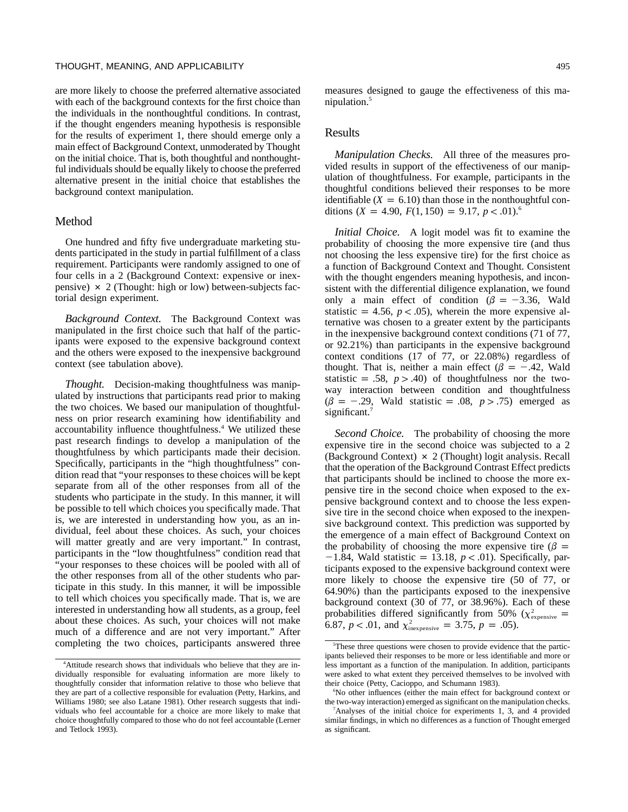#### **FIGURE 1**





need for cognition participants did not consider trade-off values when making the first or second choice and instead provided random responses without having paid sufficient attention to the information provided in the first choice. That is, it is possible that the high need for cognition participants are diligent in performing the task, whereas the low need for cognition participants are providing random responses unrelated to information in the task.

*Thought Engenders Meaning Hypothesis.* In contrast, it is possible that both thoughtful and nonthoughtful individuals calculate the trade-off values when making the first choice, but that thought is necessary to generate an inference concerning and to subsequently apply the tradeoff values of the first choice to the second. That is, thoughtfulness may afford the conditions under which the Background Contrast Effect emerges because the information gained from calculating the trade-off values in the first choice is used to provide meaning to the second (see also Prelec, Wernerfelt, and Zettelmeyer 1997; Wernerfelt 1995) under thoughtful conditions.

# **EXPERIMENT 2**

To provide convergent evidence for the influence of decision-making thoughtfulness, we manipulated the thoughtfulness of the decision in experiment 2. A manipulation of the Background Context was also provided. Recall that experiment 1 established that the participants were indifferent to the second choice (absent Background Context) by means of a pretest. In contrast, Simonson and Tversky (1992) manipulated the initial choice such that the emergence of the Background Contrast could be inferred from differences in the second choice as a function of the manipulated initial choice. Such a manipulation not only provides a stronger inference as to the emergence of the Background Contrast Effect but also provides a means by which to test between the alternative explanations. Namely, the two conditions of the manipulated background context each suggest a specific preferred alternative for the initial choice: The less expensive alternative is preferable in the first choice for the Expensive Background conditions, whereas the more expensive alternative is preferable in the first choice for the Inexpensive Background Context Conditions (see tabulation above).

If the results of experiment 1 are due to differential diligence, then the nonthoughtful individuals (who are presumably providing random responses) should be less likely to choose the preferred first alternative than the thoughtful individuals, and thus no differences should emerge on the initial, as well as the second, choice. Therefore, on the initial choice there should emerge a Background Context  $\times$  Thought interaction, such that individuals in the thoughtful conditions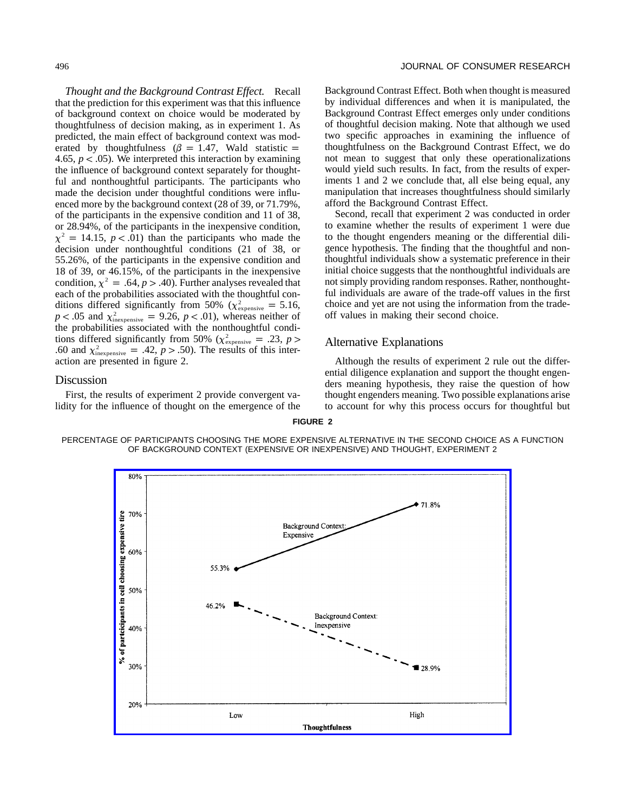are more likely to choose the preferred alternative associated with each of the background contexts for the first choice than the individuals in the nonthoughtful conditions. In contrast, if the thought engenders meaning hypothesis is responsible for the results of experiment 1, there should emerge only a main effect of Background Context, unmoderated by Thought on the initial choice. That is, both thoughtful and nonthoughtful individuals should be equally likely to choose the preferred alternative present in the initial choice that establishes the background context manipulation.

#### Method

One hundred and fifty five undergraduate marketing students participated in the study in partial fulfillment of a class requirement. Participants were randomly assigned to one of four cells in a 2 (Background Context: expensive or inexpensive)  $\times$  2 (Thought: high or low) between-subjects factorial design experiment.

*Background Context.* The Background Context was manipulated in the first choice such that half of the participants were exposed to the expensive background context and the others were exposed to the inexpensive background context (see tabulation above).

*Thought.* Decision-making thoughtfulness was manipulated by instructions that participants read prior to making the two choices. We based our manipulation of thoughtfulness on prior research examining how identifiability and accountability influence thoughtfulness.<sup>4</sup> We utilized these past research findings to develop a manipulation of the thoughtfulness by which participants made their decision. Specifically, participants in the "high thoughtfulness" condition read that "your responses to these choices will be kept separate from all of the other responses from all of the students who participate in the study. In this manner, it will be possible to tell which choices you specifically made. That is, we are interested in understanding how you, as an individual, feel about these choices. As such, your choices will matter greatly and are very important." In contrast, participants in the "low thoughtfulness" condition read that "your responses to these choices will be pooled with all of the other responses from all of the other students who participate in this study. In this manner, it will be impossible to tell which choices you specifically made. That is, we are interested in understanding how all students, as a group, feel about these choices. As such, your choices will not make much of a difference and are not very important." After completing the two choices, participants answered three measures designed to gauge the effectiveness of this manipulation.5

#### Results

*Manipulation Checks.* All three of the measures provided results in support of the effectiveness of our manipulation of thoughtfulness. For example, participants in the thoughtful conditions believed their responses to be more identifiable  $(X = 6.10)$  than those in the nonthoughtful conditions  $(X = 4.90, F(1, 150) = 9.17, p < .01)$ .<sup>6</sup>

*Initial Choice.* A logit model was fit to examine the probability of choosing the more expensive tire (and thus not choosing the less expensive tire) for the first choice as a function of Background Context and Thought. Consistent with the thought engenders meaning hypothesis, and inconsistent with the differential diligence explanation, we found only a main effect of condition ( $\beta = -3.36$ , Wald statistic = 4.56,  $p < .05$ ), wherein the more expensive alternative was chosen to a greater extent by the participants in the inexpensive background context conditions (71 of 77, or 92.21%) than participants in the expensive background context conditions (17 of 77, or 22.08%) regardless of thought. That is, neither a main effect ( $\beta = -.42$ , Wald statistic = .58,  $p > .40$  of thoughtfulness nor the twoway interaction between condition and thoughtfulness  $(\beta = -.29,$  Wald statistic = .08,  $p > .75$ ) emerged as significant.<sup>7</sup>

*Second Choice.* The probability of choosing the more expensive tire in the second choice was subjected to a 2 (Background Context)  $\times$  2 (Thought) logit analysis. Recall that the operation of the Background Contrast Effect predicts that participants should be inclined to choose the more expensive tire in the second choice when exposed to the expensive background context and to choose the less expensive tire in the second choice when exposed to the inexpensive background context. This prediction was supported by the emergence of a main effect of Background Context on the probability of choosing the more expensive tire ( $\beta$  =  $-1.84$ , Wald statistic = 13.18,  $p < .01$ ). Specifically, participants exposed to the expensive background context were more likely to choose the expensive tire (50 of 77, or 64.90%) than the participants exposed to the inexpensive background context (30 of 77, or 38.96%). Each of these probabilities differed significantly from 50% ( $\chi^2_{\text{expensive}} =$ 6.87,  $p < .01$ , and  $\chi^2$ <sub>inexpensive</sub> = 3.75,  $p = .05$ ).

<sup>4</sup> Attitude research shows that individuals who believe that they are individually responsible for evaluating information are more likely to thoughtfully consider that information relative to those who believe that they are part of a collective responsible for evaluation (Petty, Harkins, and Williams 1980; see also Latane 1981). Other research suggests that individuals who feel accountable for a choice are more likely to make that choice thoughtfully compared to those who do not feel accountable (Lerner and Tetlock 1993).

<sup>&</sup>lt;sup>5</sup>These three questions were chosen to provide evidence that the participants believed their responses to be more or less identifiable and more or less important as a function of the manipulation. In addition, participants were asked to what extent they perceived themselves to be involved with their choice (Petty, Cacioppo, and Schumann 1983).

<sup>6</sup> No other influences (either the main effect for background context or the two-way interaction) emerged as significant on the manipulation checks.

<sup>&</sup>lt;sup>7</sup>Analyses of the initial choice for experiments 1, 3, and 4 provided similar findings, in which no differences as a function of Thought emerged as significant.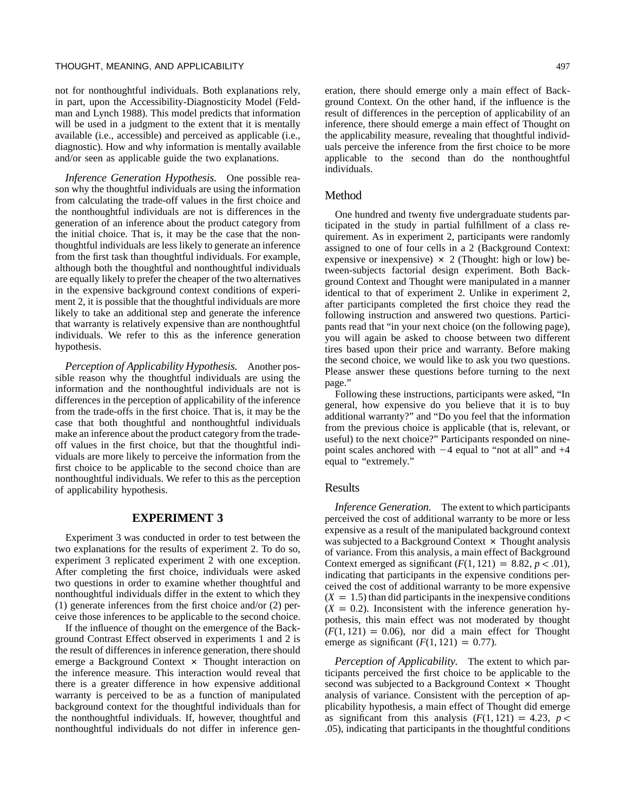*Thought and the Background Contrast Effect.* Recall that the prediction for this experiment was that this influence of background context on choice would be moderated by thoughtfulness of decision making, as in experiment 1. As predicted, the main effect of background context was moderated by thoughtfulness ( $\beta = 1.47$ , Wald statistic = 4.65,  $p < .05$ ). We interpreted this interaction by examining the influence of background context separately for thoughtful and nonthoughtful participants. The participants who made the decision under thoughtful conditions were influenced more by the background context (28 of 39, or 71.79%, of the participants in the expensive condition and 11 of 38, or 28.94%, of the participants in the inexpensive condition,  $\chi^2 = 14.15$ ,  $p < .01$ ) than the participants who made the decision under nonthoughtful conditions (21 of 38, or 55.26%, of the participants in the expensive condition and 18 of 39, or 46.15%, of the participants in the inexpensive condition,  $\chi^2 = .64$ ,  $p > .40$ ). Further analyses revealed that each of the probabilities associated with the thoughtful conditions differed significantly from 50% ( $\chi^2_{\text{expensive}} = 5.16$ ,  $p < .05$  and  $\chi^2_{\text{inexpensive}} = 9.26$ ,  $p < .01$ ), whereas neither of the probabilities associated with the nonthoughtful conditions differed significantly from 50% ( $\chi^2$ <sub>expensive</sub> = .23, *p* > .60 and  $\chi^2_{\text{inexensive}} = .42, p > .50$ . The results of this interaction are presented in figure 2.

#### Discussion

First, the results of experiment 2 provide convergent validity for the influence of thought on the emergence of the Background Contrast Effect. Both when thought is measured by individual differences and when it is manipulated, the Background Contrast Effect emerges only under conditions of thoughtful decision making. Note that although we used two specific approaches in examining the influence of thoughtfulness on the Background Contrast Effect, we do not mean to suggest that only these operationalizations would yield such results. In fact, from the results of experiments 1 and 2 we conclude that, all else being equal, any manipulation that increases thoughtfulness should similarly afford the Background Contrast Effect.

Second, recall that experiment 2 was conducted in order to examine whether the results of experiment 1 were due to the thought engenders meaning or the differential diligence hypothesis. The finding that the thoughtful and nonthoughtful individuals show a systematic preference in their initial choice suggests that the nonthoughtful individuals are not simply providing random responses. Rather, nonthoughtful individuals are aware of the trade-off values in the first choice and yet are not using the information from the tradeoff values in making their second choice.

#### Alternative Explanations

Although the results of experiment 2 rule out the differential diligence explanation and support the thought engenders meaning hypothesis, they raise the question of how thought engenders meaning. Two possible explanations arise to account for why this process occurs for thoughtful but

#### **FIGURE 2**



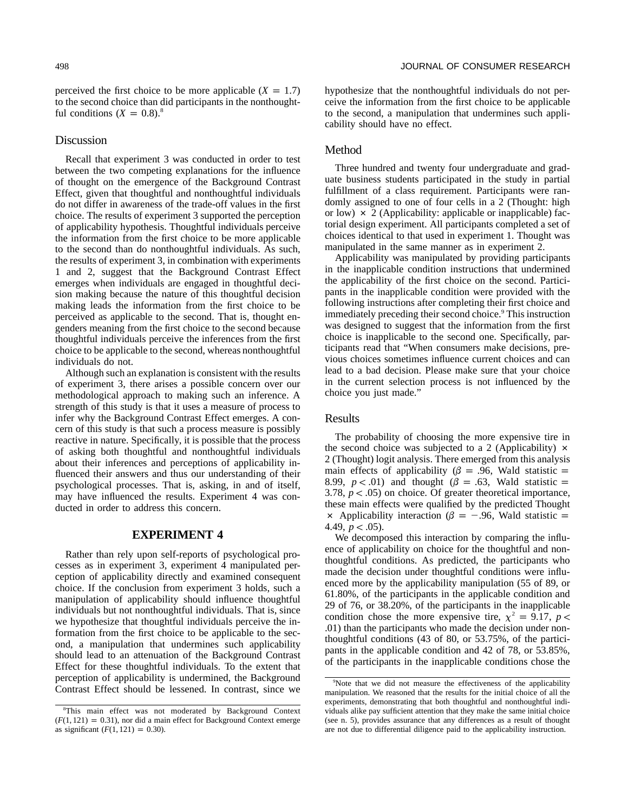not for nonthoughtful individuals. Both explanations rely, in part, upon the Accessibility-Diagnosticity Model (Feldman and Lynch 1988). This model predicts that information will be used in a judgment to the extent that it is mentally available (i.e., accessible) and perceived as applicable (i.e., diagnostic). How and why information is mentally available and/or seen as applicable guide the two explanations.

*Inference Generation Hypothesis.* One possible reason why the thoughtful individuals are using the information from calculating the trade-off values in the first choice and the nonthoughtful individuals are not is differences in the generation of an inference about the product category from the initial choice. That is, it may be the case that the nonthoughtful individuals are less likely to generate an inference from the first task than thoughtful individuals. For example, although both the thoughtful and nonthoughtful individuals are equally likely to prefer the cheaper of the two alternatives in the expensive background context conditions of experiment 2, it is possible that the thoughtful individuals are more likely to take an additional step and generate the inference that warranty is relatively expensive than are nonthoughtful individuals. We refer to this as the inference generation hypothesis.

*Perception of Applicability Hypothesis.* Another possible reason why the thoughtful individuals are using the information and the nonthoughtful individuals are not is differences in the perception of applicability of the inference from the trade-offs in the first choice. That is, it may be the case that both thoughtful and nonthoughtful individuals make an inference about the product category from the tradeoff values in the first choice, but that the thoughtful individuals are more likely to perceive the information from the first choice to be applicable to the second choice than are nonthoughtful individuals. We refer to this as the perception of applicability hypothesis.

# **EXPERIMENT 3**

Experiment 3 was conducted in order to test between the two explanations for the results of experiment 2. To do so, experiment 3 replicated experiment 2 with one exception. After completing the first choice, individuals were asked two questions in order to examine whether thoughtful and nonthoughtful individuals differ in the extent to which they (1) generate inferences from the first choice and/or (2) perceive those inferences to be applicable to the second choice.

If the influence of thought on the emergence of the Background Contrast Effect observed in experiments 1 and 2 is the result of differences in inference generation, there should emerge a Background Context  $\times$  Thought interaction on the inference measure. This interaction would reveal that there is a greater difference in how expensive additional warranty is perceived to be as a function of manipulated background context for the thoughtful individuals than for the nonthoughtful individuals. If, however, thoughtful and nonthoughtful individuals do not differ in inference generation, there should emerge only a main effect of Background Context. On the other hand, if the influence is the result of differences in the perception of applicability of an inference, there should emerge a main effect of Thought on the applicability measure, revealing that thoughtful individuals perceive the inference from the first choice to be more applicable to the second than do the nonthoughtful individuals.

#### Method

One hundred and twenty five undergraduate students participated in the study in partial fulfillment of a class requirement. As in experiment 2, participants were randomly assigned to one of four cells in a 2 (Background Context: expensive or inexpensive)  $\times$  2 (Thought: high or low) between-subjects factorial design experiment. Both Background Context and Thought were manipulated in a manner identical to that of experiment 2. Unlike in experiment 2, after participants completed the first choice they read the following instruction and answered two questions. Participants read that "in your next choice (on the following page), you will again be asked to choose between two different tires based upon their price and warranty. Before making the second choice, we would like to ask you two questions. Please answer these questions before turning to the next page."

Following these instructions, participants were asked, "In general, how expensive do you believe that it is to buy additional warranty?" and "Do you feel that the information from the previous choice is applicable (that is, relevant, or useful) to the next choice?" Participants responded on ninepoint scales anchored with  $-4$  equal to "not at all" and  $+4$ equal to "extremely."

# Results

*Inference Generation.* The extent to which participants perceived the cost of additional warranty to be more or less expensive as a result of the manipulated background context was subjected to a Background Context  $\times$  Thought analysis of variance. From this analysis, a main effect of Background Context emerged as significant  $(F(1, 121) = 8.82, p < .01)$ , indicating that participants in the expensive conditions perceived the cost of additional warranty to be more expensive  $(X = 1.5)$  than did participants in the inexpensive conditions  $(X = 0.2)$ . Inconsistent with the inference generation hypothesis, this main effect was not moderated by thought  $(F(1, 121) = 0.06)$ , nor did a main effect for Thought emerge as significant  $(F(1, 121) = 0.77)$ .

*Perception of Applicability.* The extent to which participants perceived the first choice to be applicable to the second was subjected to a Background Context  $\times$  Thought analysis of variance. Consistent with the perception of applicability hypothesis, a main effect of Thought did emerge as significant from this analysis  $(F(1, 121) = 4.23, p <$ .05), indicating that participants in the thoughtful conditions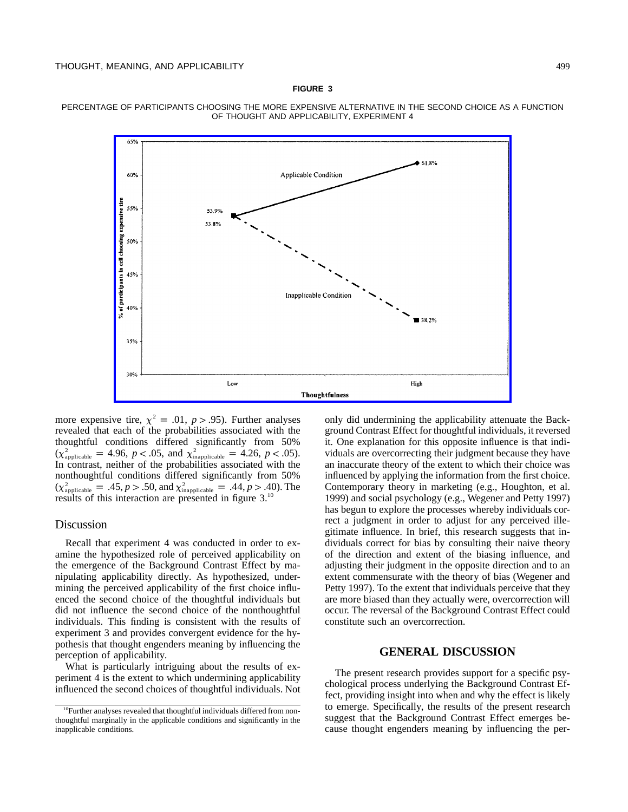perceived the first choice to be more applicable  $(X = 1.7)$ to the second choice than did participants in the nonthoughtful conditions  $(X = 0.8)^8$ 

# Discussion

Recall that experiment 3 was conducted in order to test between the two competing explanations for the influence of thought on the emergence of the Background Contrast Effect, given that thoughtful and nonthoughtful individuals do not differ in awareness of the trade-off values in the first choice. The results of experiment 3 supported the perception of applicability hypothesis. Thoughtful individuals perceive the information from the first choice to be more applicable to the second than do nonthoughtful individuals. As such, the results of experiment 3, in combination with experiments 1 and 2, suggest that the Background Contrast Effect emerges when individuals are engaged in thoughtful decision making because the nature of this thoughtful decision making leads the information from the first choice to be perceived as applicable to the second. That is, thought engenders meaning from the first choice to the second because thoughtful individuals perceive the inferences from the first choice to be applicable to the second, whereas nonthoughtful individuals do not.

Although such an explanation is consistent with the results of experiment 3, there arises a possible concern over our methodological approach to making such an inference. A strength of this study is that it uses a measure of process to infer why the Background Contrast Effect emerges. A concern of this study is that such a process measure is possibly reactive in nature. Specifically, it is possible that the process of asking both thoughtful and nonthoughtful individuals about their inferences and perceptions of applicability influenced their answers and thus our understanding of their psychological processes. That is, asking, in and of itself, may have influenced the results. Experiment 4 was conducted in order to address this concern.

# **EXPERIMENT 4**

Rather than rely upon self-reports of psychological processes as in experiment 3, experiment 4 manipulated perception of applicability directly and examined consequent choice. If the conclusion from experiment 3 holds, such a manipulation of applicability should influence thoughtful individuals but not nonthoughtful individuals. That is, since we hypothesize that thoughtful individuals perceive the information from the first choice to be applicable to the second, a manipulation that undermines such applicability should lead to an attenuation of the Background Contrast Effect for these thoughtful individuals. To the extent that perception of applicability is undermined, the Background Contrast Effect should be lessened. In contrast, since we

hypothesize that the nonthoughtful individuals do not perceive the information from the first choice to be applicable to the second, a manipulation that undermines such applicability should have no effect.

# Method

Three hundred and twenty four undergraduate and graduate business students participated in the study in partial fulfillment of a class requirement. Participants were randomly assigned to one of four cells in a 2 (Thought: high or low)  $\times$  2 (Applicability: applicable or inapplicable) factorial design experiment. All participants completed a set of choices identical to that used in experiment 1. Thought was manipulated in the same manner as in experiment 2.

Applicability was manipulated by providing participants in the inapplicable condition instructions that undermined the applicability of the first choice on the second. Participants in the inapplicable condition were provided with the following instructions after completing their first choice and immediately preceding their second choice.<sup>9</sup> This instruction was designed to suggest that the information from the first choice is inapplicable to the second one. Specifically, participants read that "When consumers make decisions, previous choices sometimes influence current choices and can lead to a bad decision. Please make sure that your choice in the current selection process is not influenced by the choice you just made."

## Results

The probability of choosing the more expensive tire in the second choice was subjected to a 2 (Applicability)  $\times$ 2 (Thought) logit analysis. There emerged from this analysis main effects of applicability ( $\beta$  = .96, Wald statistic = 8.99,  $p < .01$ ) and thought ( $\beta = .63$ , Wald statistic = 3.78,  $p < .05$ ) on choice. Of greater theoretical importance, these main effects were qualified by the predicted Thought  $\times$  Applicability interaction ( $\beta$  = -.96, Wald statistic = 4.49,  $p < .05$ ).

We decomposed this interaction by comparing the influence of applicability on choice for the thoughtful and nonthoughtful conditions. As predicted, the participants who made the decision under thoughtful conditions were influenced more by the applicability manipulation (55 of 89, or 61.80%, of the participants in the applicable condition and 29 of 76, or 38.20%, of the participants in the inapplicable condition chose the more expensive tire,  $\chi^2 = 9.17$ ,  $p <$ .01) than the participants who made the decision under nonthoughtful conditions (43 of 80, or 53.75%, of the participants in the applicable condition and 42 of 78, or 53.85%, of the participants in the inapplicable conditions chose the

<sup>8</sup> This main effect was not moderated by Background Context  $(F(1, 121) = 0.31)$ , nor did a main effect for Background Context emerge as significant  $(F(1, 121) = 0.30)$ .

<sup>9</sup> Note that we did not measure the effectiveness of the applicability manipulation. We reasoned that the results for the initial choice of all the experiments, demonstrating that both thoughtful and nonthoughtful individuals alike pay sufficient attention that they make the same initial choice (see n. 5), provides assurance that any differences as a result of thought are not due to differential diligence paid to the applicability instruction.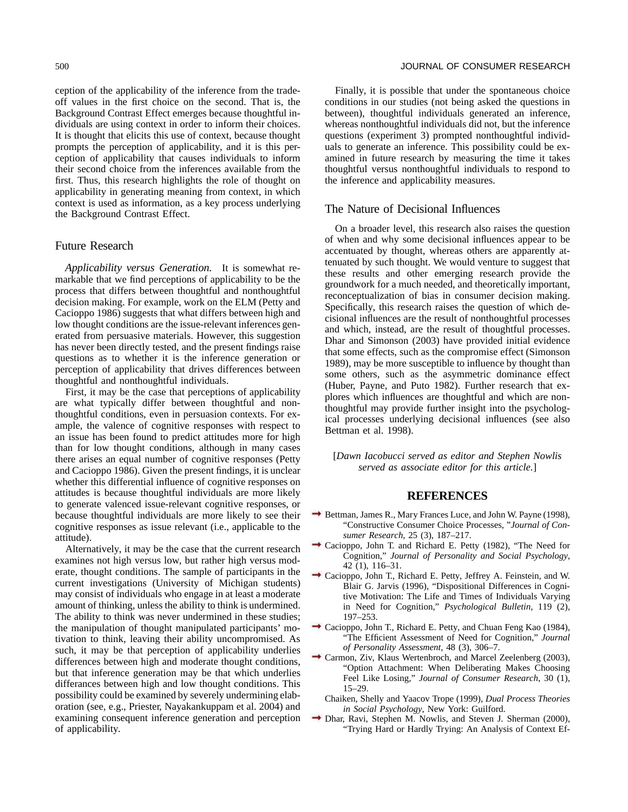#### **FIGURE 3**

PERCENTAGE OF PARTICIPANTS CHOOSING THE MORE EXPENSIVE ALTERNATIVE IN THE SECOND CHOICE AS A FUNCTION OF THOUGHT AND APPLICABILITY, EXPERIMENT 4



more expensive tire,  $\chi^2 = .01$ ,  $p > .95$ ). Further analyses revealed that each of the probabilities associated with the thoughtful conditions differed significantly from 50%  $(\chi^2_{\text{applicable}} = 4.96, p < .05, \text{ and } \chi^2_{\text{inapplicable}} = 4.26, p < .05).$ In contrast, neither of the probabilities associated with the nonthoughtful conditions differed significantly from 50%  $(\chi^2_{\text{applicable}} = .45, p > .50, \text{ and } \chi^2_{\text{inapplicable}} = .44, p > .40).$  The results of this interaction are presented in figure 3.10

# Discussion

Recall that experiment 4 was conducted in order to examine the hypothesized role of perceived applicability on the emergence of the Background Contrast Effect by manipulating applicability directly. As hypothesized, undermining the perceived applicability of the first choice influenced the second choice of the thoughtful individuals but did not influence the second choice of the nonthoughtful individuals. This finding is consistent with the results of experiment 3 and provides convergent evidence for the hypothesis that thought engenders meaning by influencing the perception of applicability.

What is particularly intriguing about the results of experiment 4 is the extent to which undermining applicability influenced the second choices of thoughtful individuals. Not only did undermining the applicability attenuate the Background Contrast Effect for thoughtful individuals, it reversed it. One explanation for this opposite influence is that individuals are overcorrecting their judgment because they have an inaccurate theory of the extent to which their choice was influenced by applying the information from the first choice. Contemporary theory in marketing (e.g., Houghton, et al. 1999) and social psychology (e.g., Wegener and Petty 1997) has begun to explore the processes whereby individuals correct a judgment in order to adjust for any perceived illegitimate influence. In brief, this research suggests that individuals correct for bias by consulting their naive theory of the direction and extent of the biasing influence, and adjusting their judgment in the opposite direction and to an extent commensurate with the theory of bias (Wegener and Petty 1997). To the extent that individuals perceive that they are more biased than they actually were, overcorrection will occur. The reversal of the Background Contrast Effect could constitute such an overcorrection.

# **GENERAL DISCUSSION**

The present research provides support for a specific psychological process underlying the Background Contrast Effect, providing insight into when and why the effect is likely to emerge. Specifically, the results of the present research suggest that the Background Contrast Effect emerges because thought engenders meaning by influencing the per-

<sup>&</sup>lt;sup>10</sup>Further analyses revealed that thoughtful individuals differed from nonthoughtful marginally in the applicable conditions and significantly in the inapplicable conditions.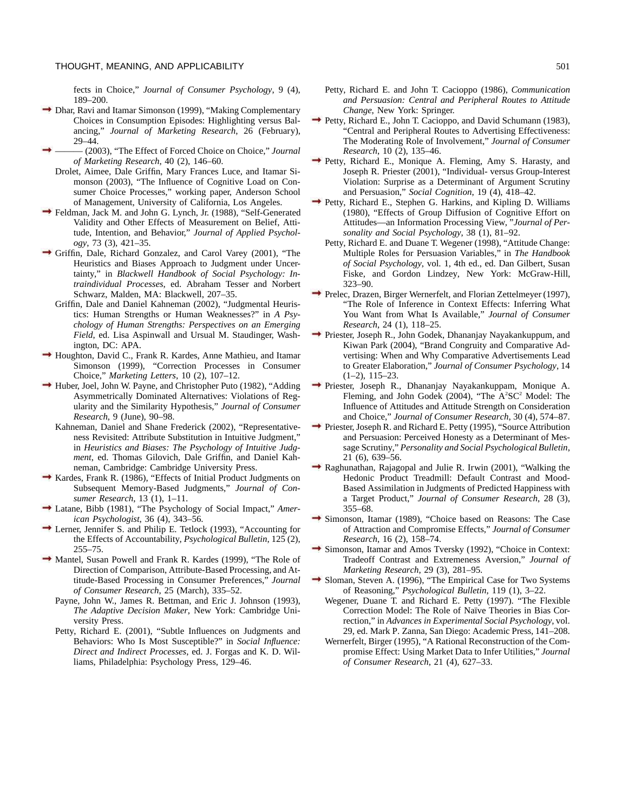ception of the applicability of the inference from the tradeoff values in the first choice on the second. That is, the Background Contrast Effect emerges because thoughtful individuals are using context in order to inform their choices. It is thought that elicits this use of context, because thought prompts the perception of applicability, and it is this perception of applicability that causes individuals to inform their second choice from the inferences available from the first. Thus, this research highlights the role of thought on applicability in generating meaning from context, in which context is used as information, as a key process underlying the Background Contrast Effect.

#### Future Research

*Applicability versus Generation.* It is somewhat remarkable that we find perceptions of applicability to be the process that differs between thoughtful and nonthoughtful decision making. For example, work on the ELM (Petty and Cacioppo 1986) suggests that what differs between high and low thought conditions are the issue-relevant inferences generated from persuasive materials. However, this suggestion has never been directly tested, and the present findings raise questions as to whether it is the inference generation or perception of applicability that drives differences between thoughtful and nonthoughtful individuals.

First, it may be the case that perceptions of applicability are what typically differ between thoughtful and nonthoughtful conditions, even in persuasion contexts. For example, the valence of cognitive responses with respect to an issue has been found to predict attitudes more for high than for low thought conditions, although in many cases there arises an equal number of cognitive responses (Petty and Cacioppo 1986). Given the present findings, it is unclear whether this differential influence of cognitive responses on attitudes is because thoughtful individuals are more likely to generate valenced issue-relevant cognitive responses, or because thoughtful individuals are more likely to see their cognitive responses as issue relevant (i.e., applicable to the attitude).

Alternatively, it may be the case that the current research examines not high versus low, but rather high versus moderate, thought conditions. The sample of participants in the current investigations (University of Michigan students) may consist of individuals who engage in at least a moderate amount of thinking, unless the ability to think is undermined. The ability to think was never undermined in these studies; the manipulation of thought manipulated participants' motivation to think, leaving their ability uncompromised. As such, it may be that perception of applicability underlies differences between high and moderate thought conditions, but that inference generation may be that which underlies differances between high and low thought conditions. This possibility could be examined by severely undermining elaboration (see, e.g., Priester, Nayakankuppam et al. 2004) and examining consequent inference generation and perception of applicability.

Finally, it is possible that under the spontaneous choice conditions in our studies (not being asked the questions in between), thoughtful individuals generated an inference, whereas nonthoughtful individuals did not, but the inference questions (experiment 3) prompted nonthoughtful individuals to generate an inference. This possibility could be examined in future research by measuring the time it takes thoughtful versus nonthoughtful individuals to respond to the inference and applicability measures.

#### The Nature of Decisional Influences

On a broader level, this research also raises the question of when and why some decisional influences appear to be accentuated by thought, whereas others are apparently attenuated by such thought. We would venture to suggest that these results and other emerging research provide the groundwork for a much needed, and theoretically important, reconceptualization of bias in consumer decision making. Specifically, this research raises the question of which decisional influences are the result of nonthoughtful processes and which, instead, are the result of thoughtful processes. Dhar and Simonson (2003) have provided initial evidence that some effects, such as the compromise effect (Simonson 1989), may be more susceptible to influence by thought than some others, such as the asymmetric dominance effect (Huber, Payne, and Puto 1982). Further research that explores which influences are thoughtful and which are nonthoughtful may provide further insight into the psychological processes underlying decisional influences (see also Bettman et al. 1998).

[*Dawn Iacobucci served as editor and Stephen Nowlis served as associate editor for this article.*]

# **REFERENCES**

- **→ Bettman, James R., Mary Frances Luce, and John W. Payne (1998),** "Constructive Consumer Choice Processes, "*Journal of Consumer Research*, 25 (3), 187–217.
- Cacioppo, John T. and Richard E. Petty (1982), "The Need for Cognition," *Journal of Personality and Social Psychology*, 42 (1), 116–31.
- Cacioppo, John T., Richard E. Petty, Jeffrey A. Feinstein, and W. Blair G. Jarvis (1996), "Dispositional Differences in Cognitive Motivation: The Life and Times of Individuals Varying in Need for Cognition," *Psychological Bulletin*, 119 (2), 197–253.
- Cacioppo, John T., Richard E. Petty, and Chuan Feng Kao (1984), "The Efficient Assessment of Need for Cognition," *Journal of Personality Assessment*, 48 (3), 306–7.
- Carmon, Ziv, Klaus Wertenbroch, and Marcel Zeelenberg (2003), "Option Attachment: When Deliberating Makes Choosing Feel Like Losing," *Journal of Consumer Research*, 30 (1), 15–29.
	- Chaiken, Shelly and Yaacov Trope (1999), *Dual Process Theories in Social Psychology*, New York: Guilford.
- Dhar, Ravi, Stephen M. Nowlis, and Steven J. Sherman (2000), "Trying Hard or Hardly Trying: An Analysis of Context Ef-